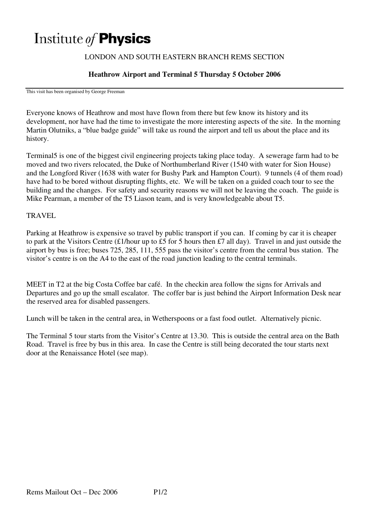# Institute of **Physics**

# LONDON AND SOUTH EASTERN BRANCH REMS SECTION

### **Heathrow Airport and Terminal 5 Thursday 5 October 2006**

This visit has been organised by George Freeman

Everyone knows of Heathrow and most have flown from there but few know its history and its development, nor have had the time to investigate the more interesting aspects of the site. In the morning Martin Olutniks, a "blue badge guide" will take us round the airport and tell us about the place and its history.

Terminal5 is one of the biggest civil engineering projects taking place today. A sewerage farm had to be moved and two rivers relocated, the Duke of Northumberland River (1540 with water for Sion House) and the Longford River (1638 with water for Bushy Park and Hampton Court). 9 tunnels (4 of them road) have had to be bored without disrupting flights, etc. We will be taken on a guided coach tour to see the building and the changes. For safety and security reasons we will not be leaving the coach. The guide is Mike Pearman, a member of the T5 Liason team, and is very knowledgeable about T5.

#### TRAVEL

Parking at Heathrow is expensive so travel by public transport if you can. If coming by car it is cheaper to park at the Visitors Centre (£1/hour up to £5 for 5 hours then £7 all day). Travel in and just outside the airport by bus is free; buses 725, 285, 111, 555 pass the visitor's centre from the central bus station. The visitor's centre is on the A4 to the east of the road junction leading to the central terminals.

MEET in T2 at the big Costa Coffee bar café. In the checkin area follow the signs for Arrivals and Departures and go up the small escalator. The coffer bar is just behind the Airport Information Desk near the reserved area for disabled passengers.

Lunch will be taken in the central area, in Wetherspoons or a fast food outlet. Alternatively picnic.

The Terminal 5 tour starts from the Visitor's Centre at 13.30. This is outside the central area on the Bath Road. Travel is free by bus in this area. In case the Centre is still being decorated the tour starts next door at the Renaissance Hotel (see map).